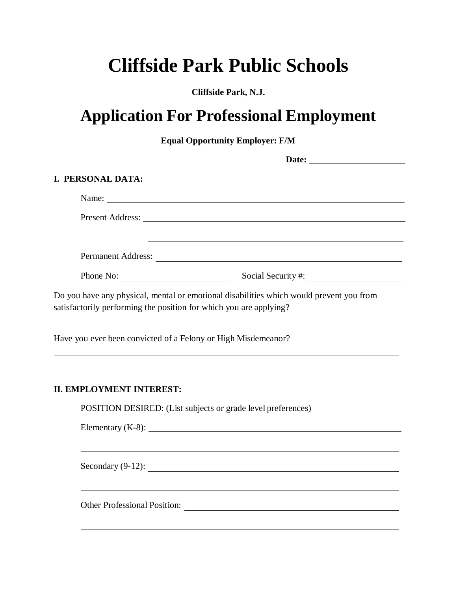## **Cliffside Park Public Schools**

**Cliffside Park, N.J.**

## **Application For Professional Employment**

**Equal Opportunity Employer: F/M**

| <b>I. PERSONAL DATA:</b>                                           |                                                                                                                                                                                                                               |
|--------------------------------------------------------------------|-------------------------------------------------------------------------------------------------------------------------------------------------------------------------------------------------------------------------------|
|                                                                    |                                                                                                                                                                                                                               |
|                                                                    |                                                                                                                                                                                                                               |
|                                                                    | the control of the control of the control of the control of the control of the control of the control of the control of the control of the control of the control of the control of the control of the control of the control |
|                                                                    |                                                                                                                                                                                                                               |
|                                                                    | Phone No: Social Security #:                                                                                                                                                                                                  |
| satisfactorily performing the position for which you are applying? | Do you have any physical, mental or emotional disabilities which would prevent you from                                                                                                                                       |
| Have you ever been convicted of a Felony or High Misdemeanor?      | ,我们也不能在这里的时候,我们也不能在这里的时候,我们也不能会在这里的时候,我们也不能会在这里的时候,我们也不能会在这里的时候,我们也不能会在这里的时候,我们也<br>,我们也不会有什么。""我们的人,我们也不会有什么?""我们的人,我们也不会有什么?""我们的人,我们的人,我们的人,我们的人,我们的人,我们的人,我们的人,我                                                          |
| <b>II. EMPLOYMENT INTEREST:</b>                                    |                                                                                                                                                                                                                               |
|                                                                    | POSITION DESIRED: (List subjects or grade level preferences)                                                                                                                                                                  |
|                                                                    | Elementary $(K-8)$ : $\qquad \qquad \qquad$                                                                                                                                                                                   |
|                                                                    | Secondary $(9-12)$ :                                                                                                                                                                                                          |
|                                                                    |                                                                                                                                                                                                                               |

Other Professional Position: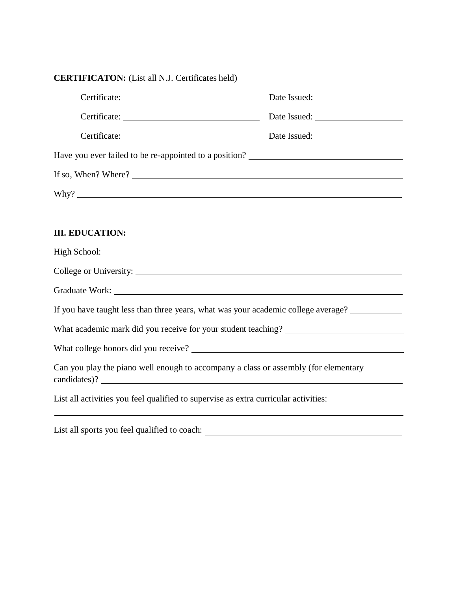| <b>CERTIFICATON:</b> (List all N.J. Certificates held) |  |  |
|--------------------------------------------------------|--|--|
|--------------------------------------------------------|--|--|

| Certificate: Date Issued: Date Issued:                                                                                                                                                                                         |  |
|--------------------------------------------------------------------------------------------------------------------------------------------------------------------------------------------------------------------------------|--|
|                                                                                                                                                                                                                                |  |
|                                                                                                                                                                                                                                |  |
|                                                                                                                                                                                                                                |  |
|                                                                                                                                                                                                                                |  |
|                                                                                                                                                                                                                                |  |
|                                                                                                                                                                                                                                |  |
| <b>III. EDUCATION:</b>                                                                                                                                                                                                         |  |
|                                                                                                                                                                                                                                |  |
|                                                                                                                                                                                                                                |  |
| Graduate Work: New York: New York: New York: New York: New York: New York: New York: New York: New York: New York: New York: New York: New York: New York: New York: New York: New York: New York: New York: New York: New Yor |  |
| If you have taught less than three years, what was your academic college average?                                                                                                                                              |  |
| What academic mark did you receive for your student teaching? ___________________                                                                                                                                              |  |
|                                                                                                                                                                                                                                |  |
| Can you play the piano well enough to accompany a class or assembly (for elementary                                                                                                                                            |  |
| List all activities you feel qualified to supervise as extra curricular activities:                                                                                                                                            |  |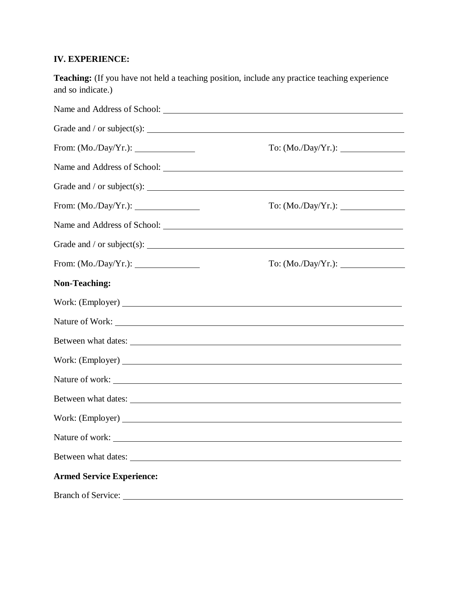## **IV. EXPERIENCE:**

| and so indicate.)                | <b>Teaching:</b> (If you have not held a teaching position, include any practice teaching experience |
|----------------------------------|------------------------------------------------------------------------------------------------------|
|                                  |                                                                                                      |
|                                  |                                                                                                      |
|                                  |                                                                                                      |
|                                  |                                                                                                      |
|                                  |                                                                                                      |
|                                  |                                                                                                      |
|                                  |                                                                                                      |
|                                  |                                                                                                      |
|                                  |                                                                                                      |
| <b>Non-Teaching:</b>             |                                                                                                      |
|                                  |                                                                                                      |
|                                  |                                                                                                      |
|                                  |                                                                                                      |
|                                  |                                                                                                      |
|                                  | Nature of work:                                                                                      |
| Between what dates:              |                                                                                                      |
|                                  |                                                                                                      |
| Nature of work:                  |                                                                                                      |
| Between what dates:              |                                                                                                      |
| <b>Armed Service Experience:</b> |                                                                                                      |
|                                  |                                                                                                      |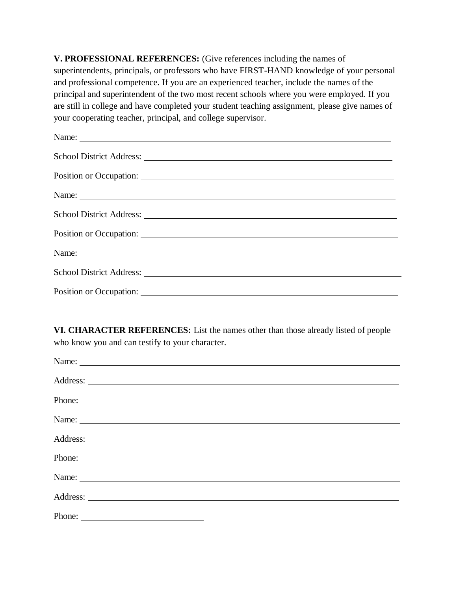**V. PROFESSIONAL REFERENCES:** (Give references including the names of superintendents, principals, or professors who have FIRST-HAND knowledge of your personal and professional competence. If you are an experienced teacher, include the names of the principal and superintendent of the two most recent schools where you were employed. If you are still in college and have completed your student teaching assignment, please give names of your cooperating teacher, principal, and college supervisor.

**VI. CHARACTER REFERENCES:** List the names other than those already listed of people who know you and can testify to your character.

| Phone: |  |
|--------|--|
|        |  |
|        |  |
|        |  |
|        |  |
|        |  |
|        |  |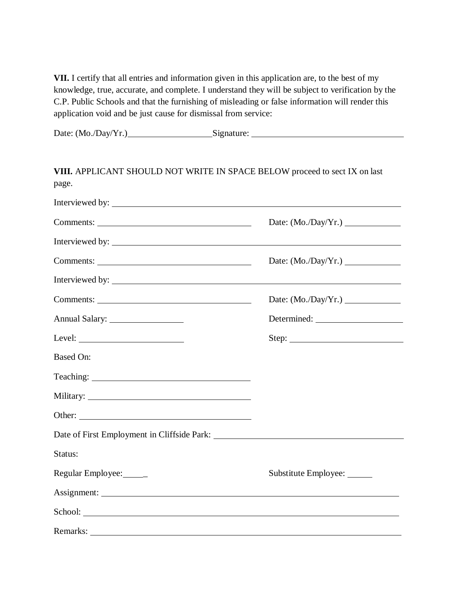**VII.** I certify that all entries and information given in this application are, to the best of my knowledge, true, accurate, and complete. I understand they will be subject to verification by the C.P. Public Schools and that the furnishing of misleading or false information will render this application void and be just cause for dismissal from service:

| Date: $(Mo./Day/Yr.)$ | Signature: |  |
|-----------------------|------------|--|
|                       |            |  |
|                       |            |  |

| VIII. APPLICANT SHOULD NOT WRITE IN SPACE BELOW proceed to sect IX on last<br>page. |                             |
|-------------------------------------------------------------------------------------|-----------------------------|
| Interviewed by:                                                                     |                             |
|                                                                                     |                             |
| Interviewed by:                                                                     |                             |
|                                                                                     |                             |
|                                                                                     |                             |
|                                                                                     |                             |
|                                                                                     | Determined:                 |
| Level: $\qquad \qquad$                                                              | Step: $\qquad \qquad$       |
| <b>Based On:</b>                                                                    |                             |
|                                                                                     |                             |
|                                                                                     |                             |
|                                                                                     |                             |
|                                                                                     |                             |
| Status:                                                                             |                             |
| Regular Employee:                                                                   | Substitute Employee: ______ |
|                                                                                     |                             |
| School: <u>Communication</u>                                                        |                             |
| Remarks:                                                                            |                             |